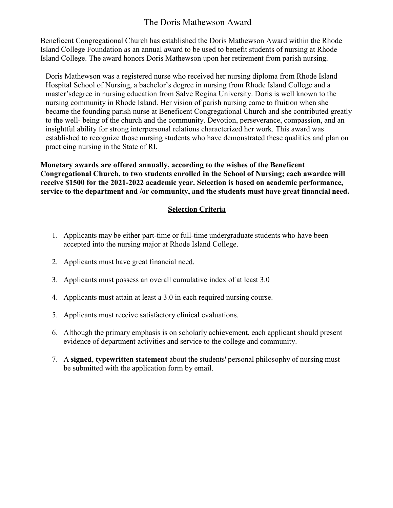## The Doris Mathewson Award

Beneficent Congregational Church has established the Doris Mathewson Award within the Rhode Island College Foundation as an annual award to be used to benefit students of nursing at Rhode Island College. The award honors Doris Mathewson upon her retirement from parish nursing.

Doris Mathewson was a registered nurse who received her nursing diploma from Rhode Island Hospital School of Nursing, a bachelor's degree in nursing from Rhode Island College and a master's degree in nursing education from Salve Regina University. Doris is well known to the nursing community in Rhode Island. Her vision of parish nursing came to fruition when she became the founding parish nurse at Beneficent Congregational Church and she contributed greatly to the well- being of the church and the community. Devotion, perseverance, compassion, and an insightful ability for strong interpersonal relations characterized her work. This award was established to recognize those nursing students who have demonstrated these qualities and plan on practicing nursing in the State of RI.

**Monetary awards are offered annually, according to the wishes of the Beneficent Congregational Church, to two students enrolled in the School of Nursing; each awardee will receive \$1500 for the 2021-2022 academic year. Selection is based on academic performance, service to the department and /or community, and the students must have great financial need.**

### **Selection Criteria**

- 1. Applicants may be either part-time or full-time undergraduate students who have been accepted into the nursing major at Rhode Island College.
- 2. Applicants must have great financial need.
- 3. Applicants must possess an overall cumulative index of at least 3.0
- 4. Applicants must attain at least a 3.0 in each required nursing course.
- 5. Applicants must receive satisfactory clinical evaluations.
- 6. Although the primary emphasis is on scholarly achievement, each applicant should present evidence of department activities and service to the college and community.
- 7. A **signed**, **typewritten statement** about the students' personal philosophy of nursing must be submitted with the application form by email.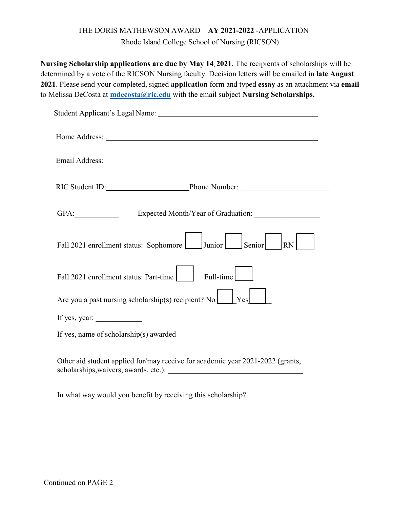#### THE DORIS MATHEWSON AWARD – **AY 2021-2022** -APPLICATION

Rhode Island College School of Nursing (RICSON)

**Nursing Scholarship applications are due by May 14, 2021**. The recipients of scholarships will be determined by a vote of the RICSON Nursing faculty. Decision letters will be emailed in **late August 2021**. Please send your completed, signed **application** form and typed **essay** as an attachment via **email** to Melissa DeCosta at **[mdecosta@ric.edu](mailto:mdecosta@ric.edu)** with the email subject **Nursing Scholarships.**

| RIC Student ID: Phone Number:                                                  |
|--------------------------------------------------------------------------------|
|                                                                                |
| Fall 2021 enrollment status: Sophomore   Junior   Senior<br><b>RN</b>          |
| Fall 2021 enrollment status: Part-time<br>Full-time                            |
| Are you a past nursing scholarship(s) recipient? No $\Box$ Yes                 |
| If yes, year:                                                                  |
|                                                                                |
| Other aid student applied for/may receive for academic year 2021-2022 (grants, |

In what way would you benefit by receiving this scholarship?

scholarships, waivers, awards, etc.): \_\_\_\_\_\_\_\_\_\_